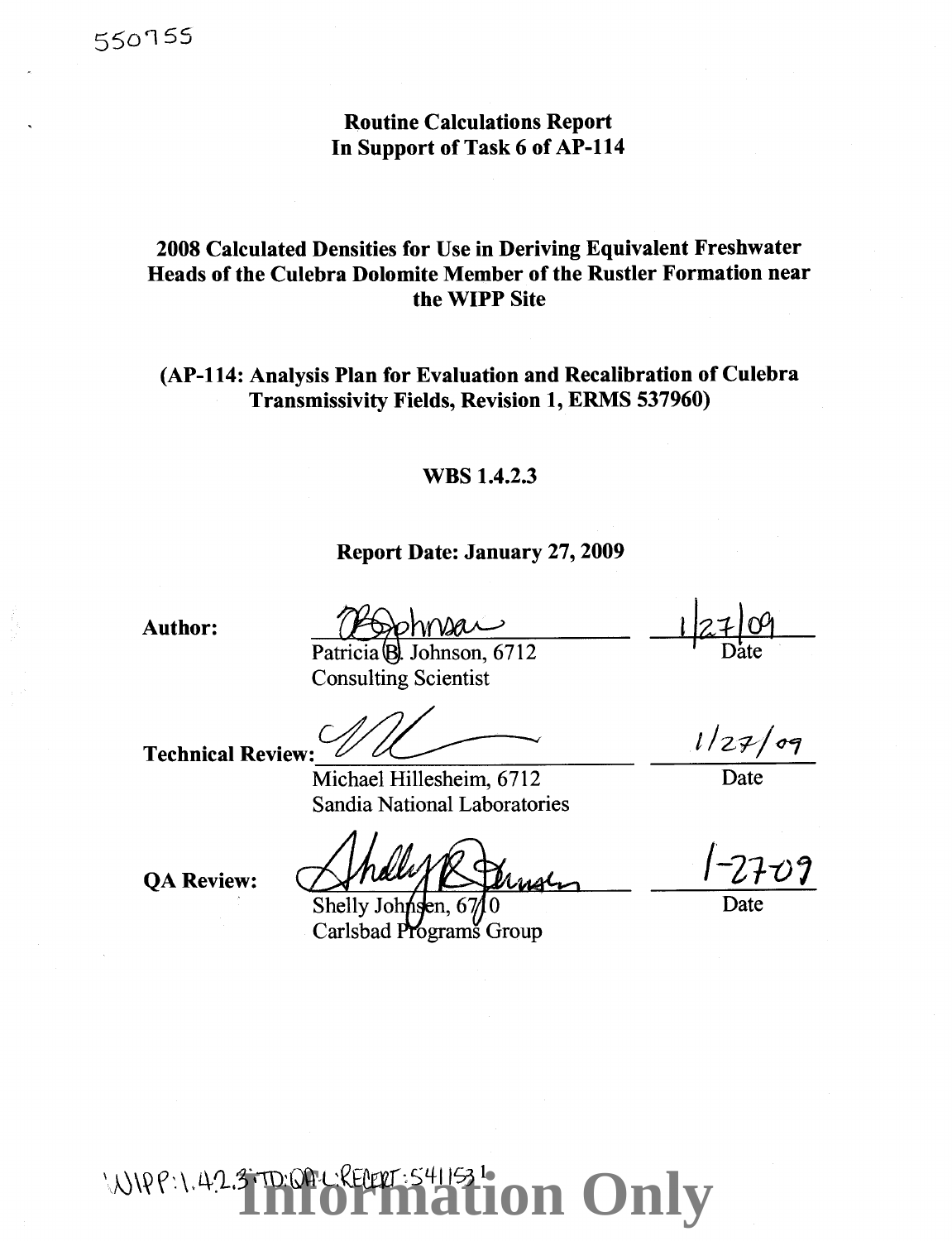## Routine Calculations Report In Support of Task 6 of AP-114

## 2008 Calculated Densities for Use in Deriving Equivalent Freshwater Heads of the Culebra Dolomite Member of the Rustler Formation near the WIPP Site

## (AP-114: Analysis Plan for Evaluation and Recalibration of Culebra Transmissivity Fields, Revision 1, ERMS 537960)

## WBS 1.4.2.3

## Report Date: January 27,2009

Author:

ohnsan Patricia B. Johnson, 6712

Date

Consulting Scientist

Technical Review:  $\mathcal{U}/\mathcal{U}$   $\longrightarrow$   $1/27/97$ 

Michael Hillesheim, 6712 Date Sandia National Laboratories

QA Review: *Ahally* & Dernsen 1-2709 Shelly Johnsen, 6

Carlsbad Programs Group

Date

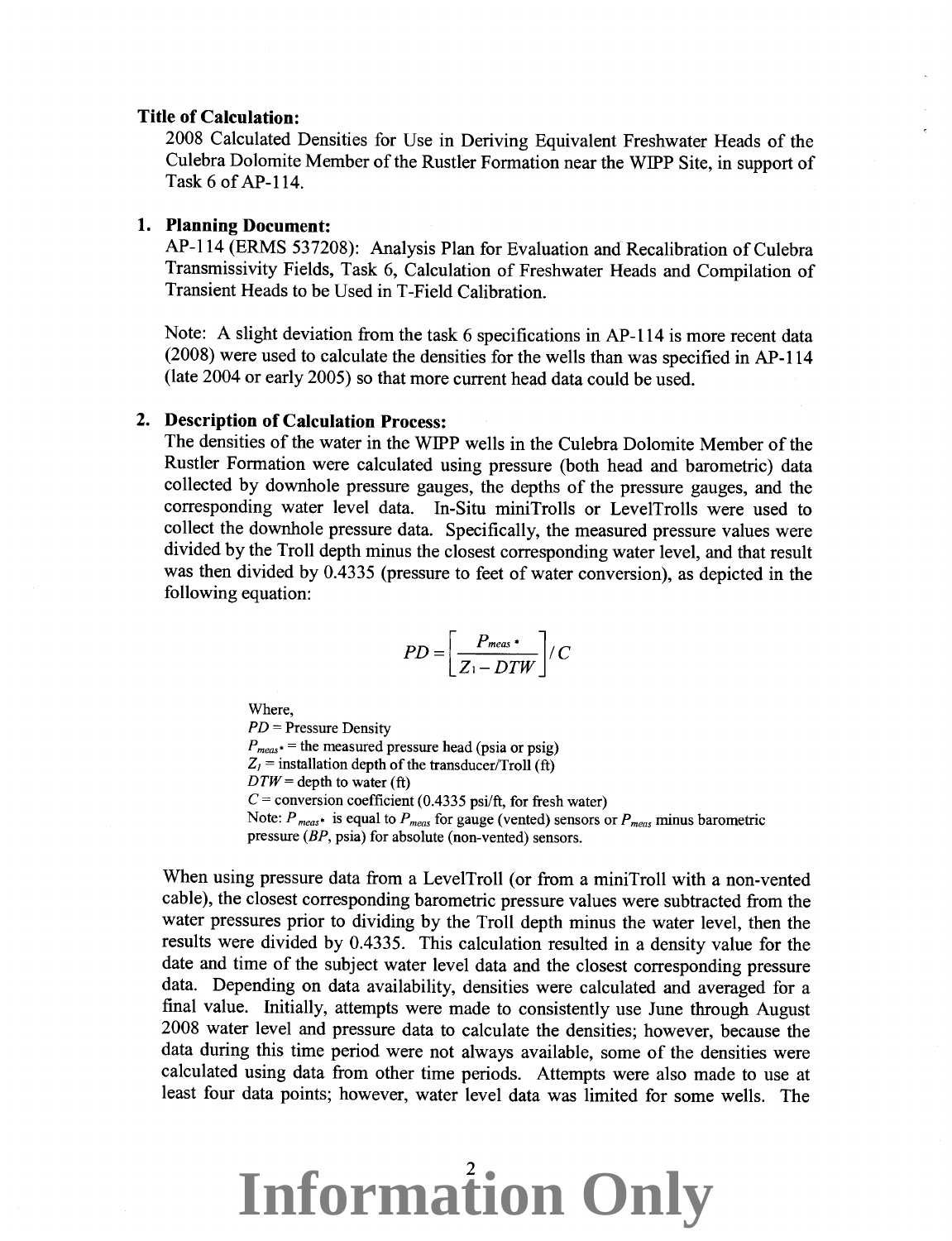### **Title of Calculation:**

2008 Calculated Densities for Use in Deriving Equivalent Freshwater Heads of the Culebra Dolomite Member of the Rustler Formation near the WIPP Site, in support of Task 6 of AP-114.

## **1. Planning Document:**

AP-114 (ERMS 537208): Analysis Plan for Evaluation and Recalibration of Culebra Transmissivity Fields, Task 6, Calculation of Freshwater Heads and Compilation of Transient Heads to be Used in T -Field Calibration.

Note: A slight deviation from the task 6 specifications in AP-114 is more recent data (2008) were used to calculate the densities for the wells than was specified in AP-114 (late 2004 or early 2005) so that more current head data could be used.

### **2. Description of Calculation Process:**

The densities of the water in the WIPP wells in the Culebra Dolomite Member of the Rustler Formation were calculated using pressure (both head and barometric) data collected by downhole pressure gauges, the depths of the pressure gauges, and the corresponding water level data. In-Situ miniTrolls or LevelTrolls were used to collect the downhole pressure data. Specifically, the measured pressure values were divided by the Troll depth minus the closest corresponding water level, and that result was then divided by 0.4335 (pressure to feet of water conversion), as depicted in the following equation:

$$
PD = \left[\frac{P_{meas} \cdot}{Z_1 - DTW}\right] / C
$$

Where,

*PD* =Pressure Density  $P_{meas*}$  = the measured pressure head (psia or psig)  $Z_I$  = installation depth of the transducer/Troll (ft)  $DTW =$ depth to water (ft)  $C$  = conversion coefficient (0.4335 psi/ft, for fresh water) Note:  $P_{meas*}$  is equal to  $P_{meas}$  for gauge (vented) sensors or  $P_{meas}$  minus barometric pressure (BP, psia) for absolute (non-vented) sensors.

When using pressure data from a LevelTroll (or from a miniTroll with a non-vented cable), the closest corresponding barometric pressure values were subtracted from the water pressures prior to dividing by the Troll depth minus the water level, then the results were divided by 0.4335. This calculation resulted in a density value for the date and time of the subject water level data and the closest corresponding pressure data. Depending on data availability, densities were calculated and averaged for a final value. Initially, attempts were made to consistently use June through August 2008 water level and pressure data to calculate the densities; however, because the data during this time period were not always available, some of the densities were calculated using data from other time periods. Attempts were also made to use at least four data points; however, water level data was limited for some wells. The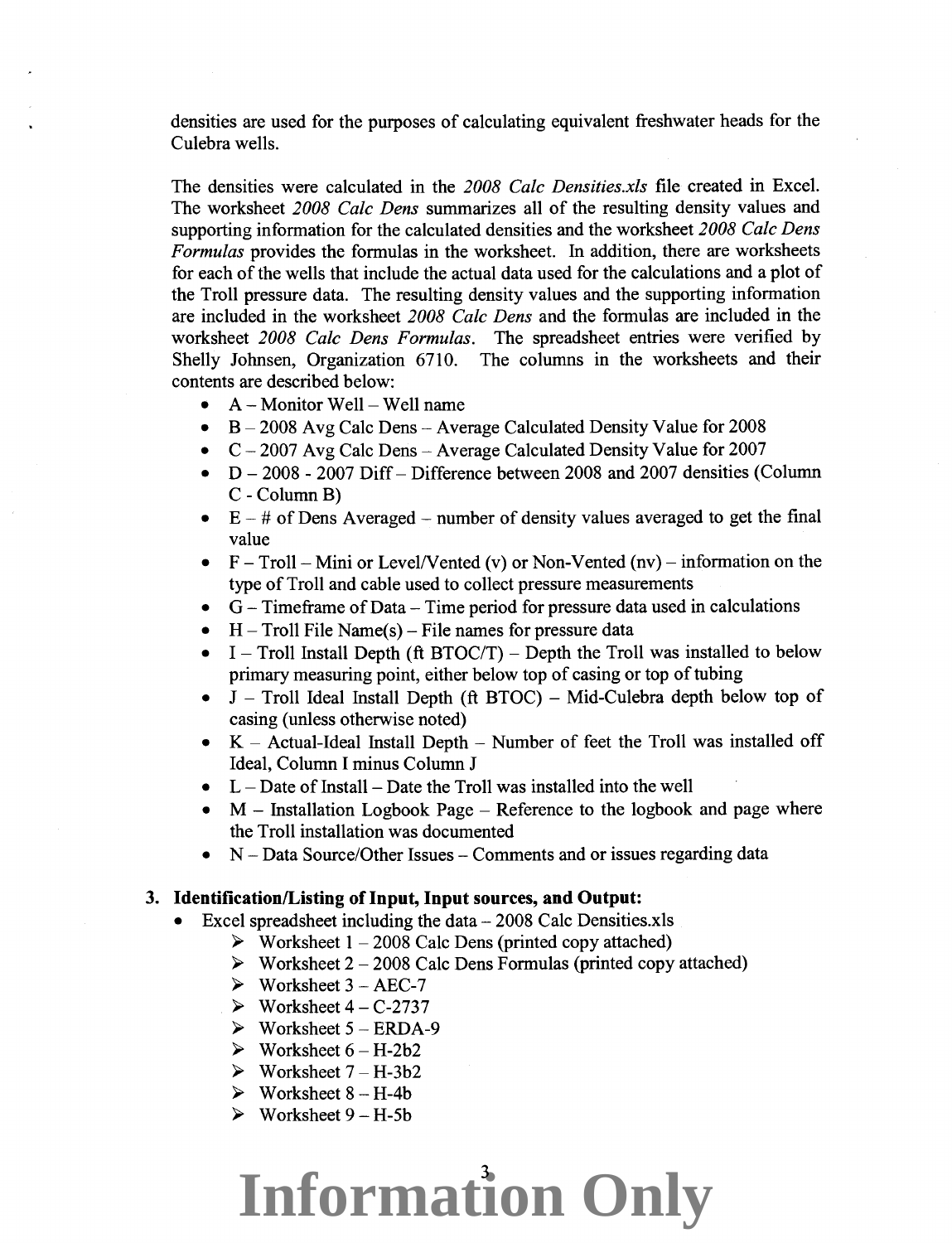densities are used for the purposes of calculating equivalent freshwater heads for the Culebra wells.

The densities were calculated in the *2008 Calc Densities.xls* file created in Excel. The worksheet *2008 Calc Dens* summarizes all of the resulting density values and supporting information for the calculated densities and the worksheet *2008 Calc Dens Formulas* provides the formulas in the worksheet. In addition, there are worksheets for each of the wells that include the actual data used for the calculations and a plot of the Troll pressure data. The resulting density values and the supporting information are included in the worksheet *2008 Calc Dens* and the formulas are included in the worksheet *2008 Calc Dens Formulas.* The spreadsheet entries were verified by Shelly Johnsen, Organization 6710. The columns in the worksheets and their contents are described below:

- $A -$ Monitor Well Well name
- $\bullet$  B 2008 Avg Calc Dens Average Calculated Density Value for 2008
- $C 2007$  Avg Calc Dens Average Calculated Density Value for 2007
- $D 2008 2007$  Diff- Difference between 2008 and 2007 densities (Column C- Column B)
- $E #$  of Dens Averaged number of density values averaged to get the final value
- $F Troll Mini$  or Level/Vented (v) or Non-Vented (nv) information on the type of Troll and cable used to collect pressure measurements
- $\bullet$  G Timeframe of Data Time period for pressure data used in calculations
- $H$  Troll File Name(s) File names for pressure data
- $I$  Troll Install Depth (ft BTOC/T) Depth the Troll was installed to below primary measuring point, either below top of casing or top of tubing
- $J$  Troll Ideal Install Depth (ft BTOC) Mid-Culebra depth below top of casing (unless otherwise noted)
- $K -$  Actual-Ideal Install Depth Number of feet the Troll was installed off Ideal, Column I minus Column J
- $L$  Date of Install Date the Troll was installed into the well
- $M$  Installation Logbook Page Reference to the logbook and page where the Troll installation was documented
- N Data Source/Other Issues Comments and or issues regarding data

### **3. Identification/Listing of Input, Input sources, and Output:**

- Excel spreadsheet including the data $-2008$  Calc Densities.xls
	- $\triangleright$  Worksheet 1 2008 Calc Dens (printed copy attached)
	- $\triangleright$  Worksheet 2 2008 Calc Dens Formulas (printed copy attached)
	- $\triangleright$  Worksheet 3 AEC-7
	- $\triangleright$  Worksheet 4 C-2737
	- $\triangleright$  Worksheet 5 ERDA-9
	- $\triangleright$  Worksheet  $6 H-2b2$
	- $\triangleright$  Worksheet 7 H-3b2
	- $\triangleright$  Worksheet 8 H-4b
	- $\triangleright$  Worksheet 9 H-5b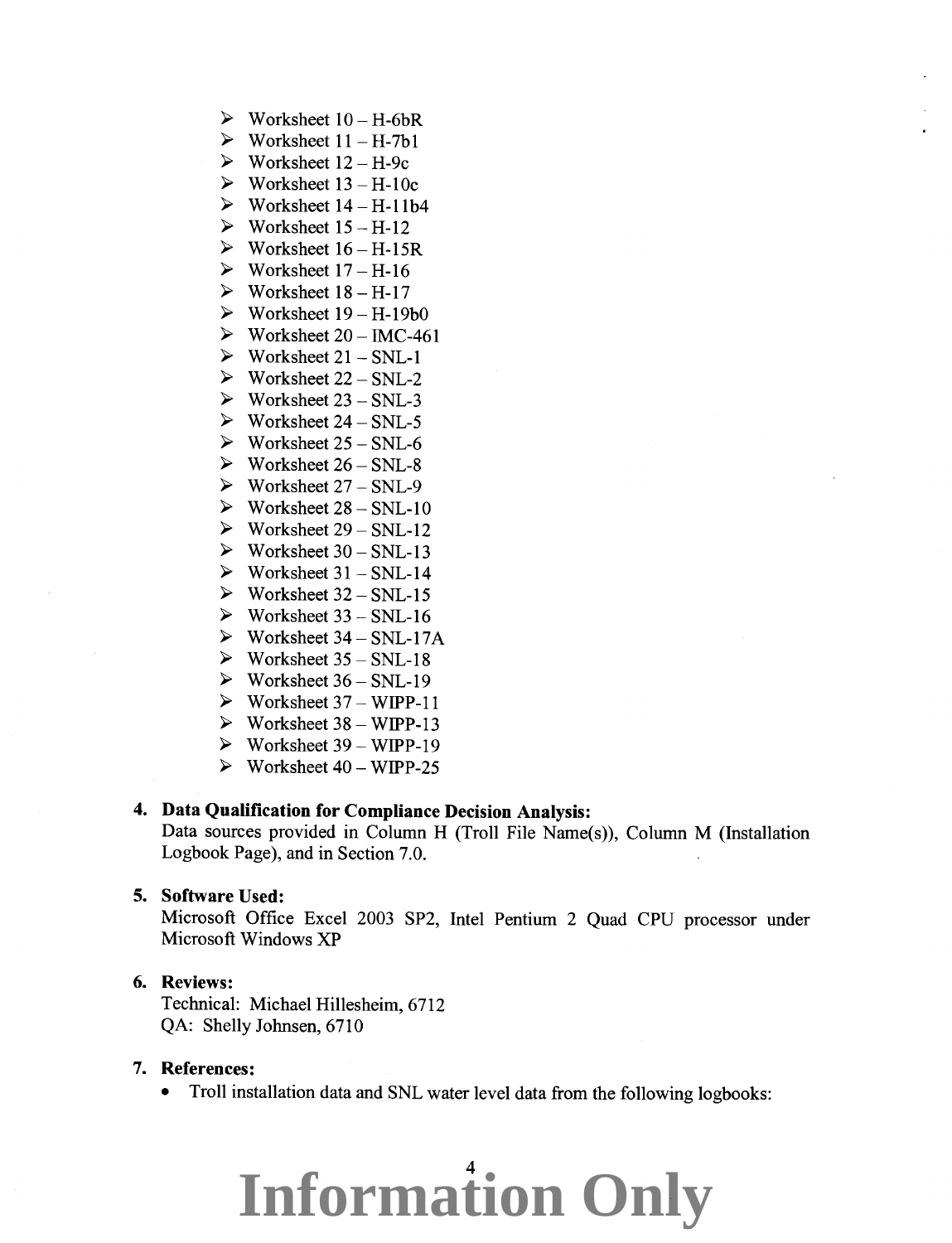- $\triangleright$  Worksheet 10 H-6bR
- $\triangleright$  Worksheet 11 H-7b1
- $\triangleright$  Worksheet 12 H-9c
- $\triangleright$  Worksheet 13 H-10c
- $\triangleright$  Worksheet 14 H-11b4
- $\triangleright$  Worksheet 15 H-12
- $\triangleright$  Worksheet 16 H-15R
- $\triangleright$  Worksheet 17 H-16
- $\triangleright$  Worksheet 18 H-17
- $\triangleright$  Worksheet 19 H-19b0
- $\triangleright$  Worksheet 20 IMC-461
- $\triangleright$  Worksheet 21 SNL-1
- $\triangleright$  Worksheet 22 SNL-2
- $\triangleright$  Worksheet 23 SNL-3
- $\triangleright$  Worksheet 24 SNL-5
- $\triangleright$  Worksheet 25 SNL-6
- $\triangleright$  Worksheet 26 SNL-8
- $\triangleright$  Worksheet 27 SNL-9
- $\triangleright$  Worksheet 28 SNL-10
- $\triangleright$  Worksheet 29 SNL-12
- $\triangleright$  Worksheet 30 SNL-13
- $\triangleright$  Worksheet 31 SNL-14
- $\triangleright$  Worksheet 32 SNL-15
- $\triangleright$  Worksheet 33 SNL-16
- $\triangleright$  Worksheet 34 SNL-17A
- $\triangleright$  Worksheet 35 SNL-18
- $\triangleright$  Worksheet 36 SNL-19
- $\triangleright$  Worksheet 37 WIPP-11
- $\triangleright$  Worksheet 38 WIPP-13
- $\triangleright$  Worksheet 39 WIPP-19
- $\triangleright$  Worksheet 40 WIPP-25

## **4. Data Qualification for Compliance Decision Analysis:**

Data sources provided in Column H (Troll File Name(s)), Column M (Installation Logbook Page), and in Section 7.0.

### **5. Software Used:**

Microsoft Office Excel 2003 SP2, Intel Pentium 2 Quad CPU processor under Microsoft Windows XP

### **6. Reviews:**

Technical: Michael Hillesheim, 6712 QA: Shelly Johnsen, 6710

### **7. References:**

• Troll installation data and SNL water level data from the following logbooks: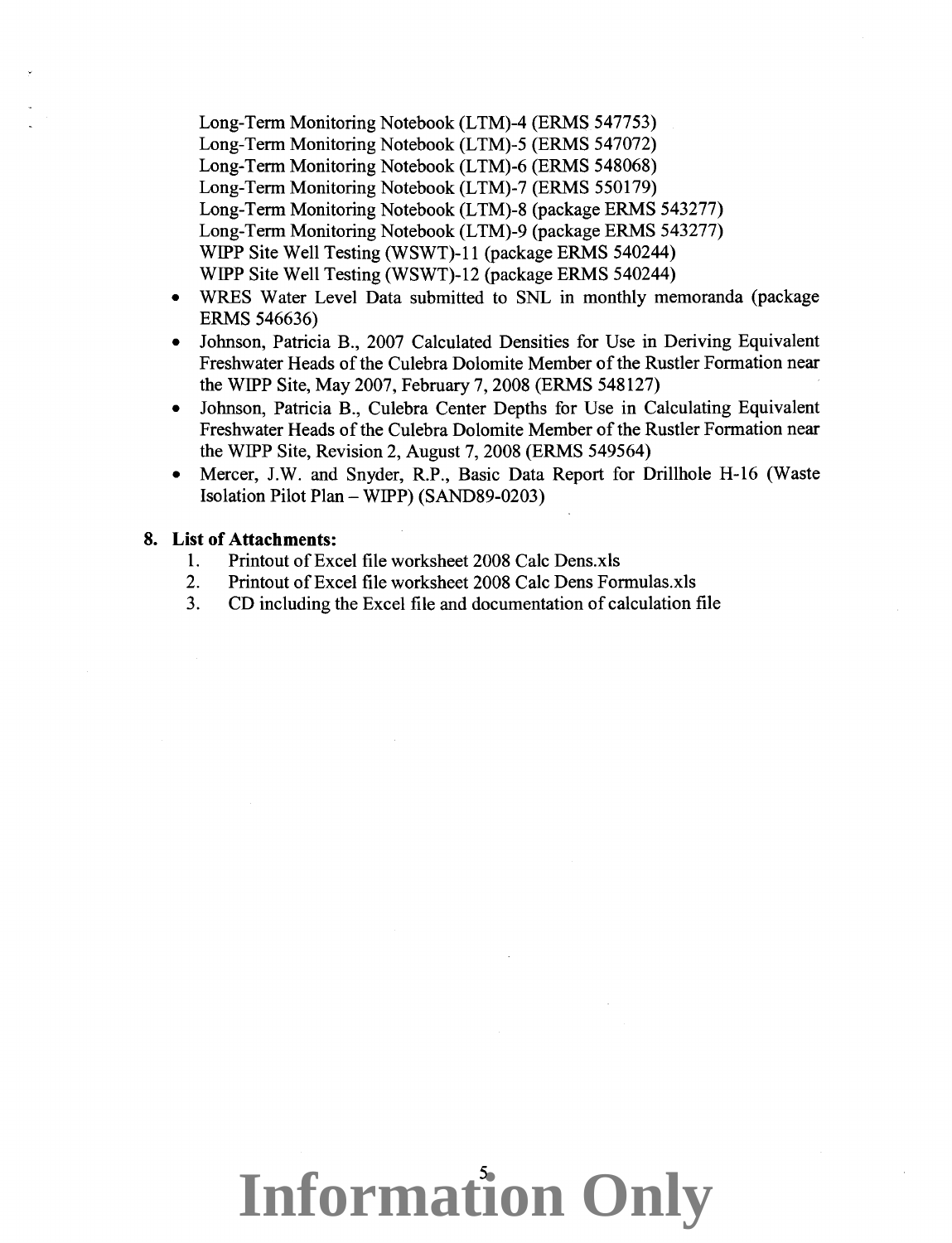Long-Term Monitoring Notebook (LTM)-4 (ERMS 547753) Long-Term Monitoring Notebook (LTM)-5 (ERMS 547072) Long-Term Monitoring Notebook (LTM)-6 (ERMS 548068) Long-Term Monitoring Notebook (LTM)-7 (ERMS 550179) Long-Term Monitoring Notebook (LTM)-8 (package ERMS 543277) Long-Term Monitoring Notebook (LTM)-9 (package ERMS 543277) WIPP Site Well Testing (WSWT)-11 (package ERMS 540244) WIPP Site Well Testing (WSWT)-12 (package ERMS 540244)

- WRES Water Level Data submitted to SNL in monthly memoranda (package ERMS 546636)
- Johnson, Patricia B., 2007 Calculated Densities for Use in Deriving Equivalent Freshwater Heads of the Culebra Dolomite Member of the Rustler Formation near the WIPP Site, May 2007, February 7, 2008 (ERMS 548127)
- Johnson, Patricia B., Culebra Center Depths for Use in Calculating Equivalent Freshwater Heads of the Culebra Dolomite Member of the Rustler Formation near the WIPP Site, Revision 2, August 7, 2008 (ERMS 549564)
- Mercer, J.W. and Snyder, R.P., Basic Data Report for Drillhole H-16 (Waste Isolation Pilot Plan- WIPP) (SAND89-0203)

### **8. List of Attachments:**

- 1. Printout of Excel file worksheet 2008 Calc Dens.xls
- 2. Printout of Excel file worksheet 2008 Calc Dens Formulas.xls
- 3. CD including the Excel file and documentation of calculation file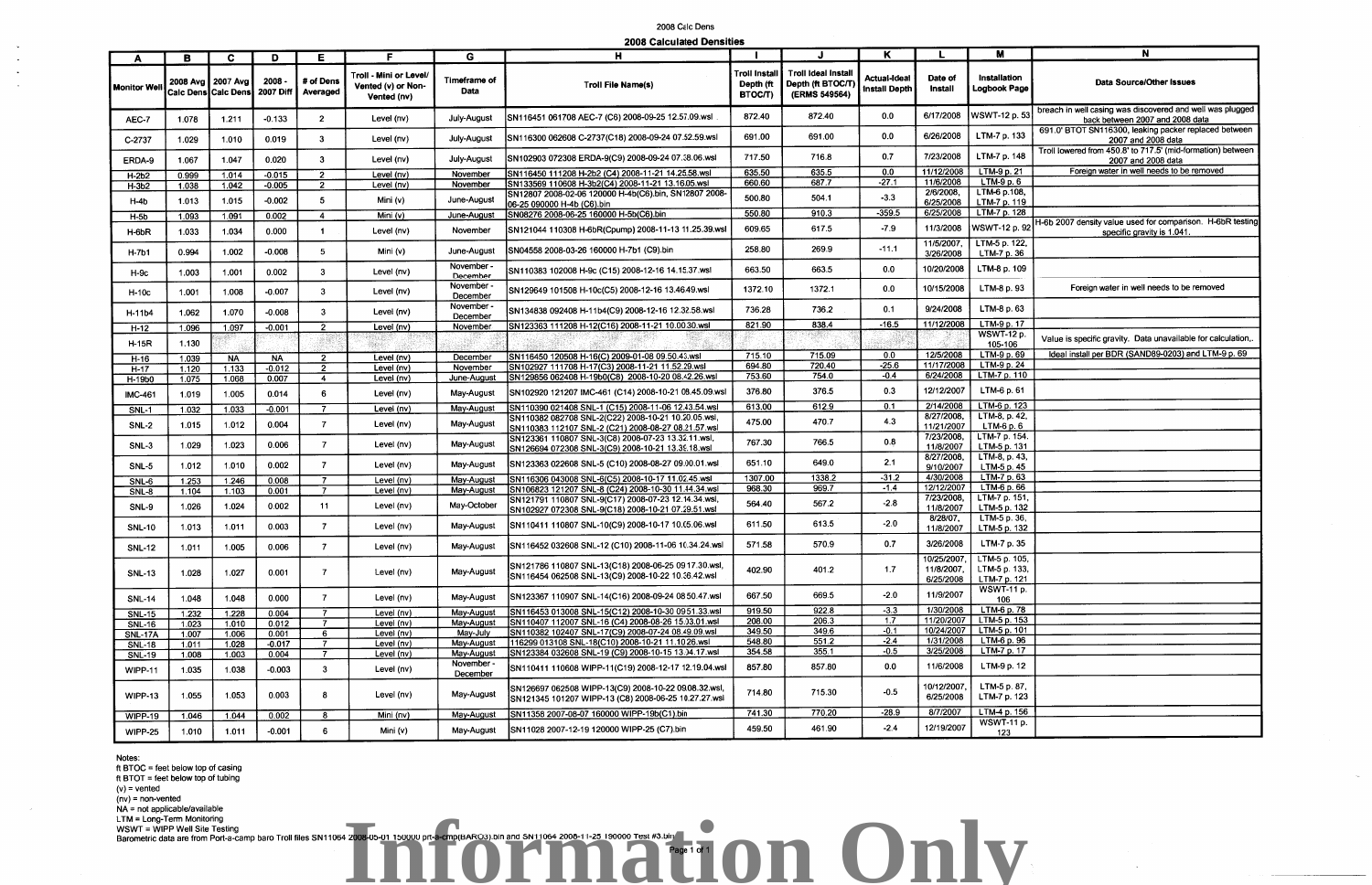ft BTOC = feet below top of casing ft BTOT = feet below top of tubing  $(v)$  = vented  $(nv)$  = non-vented  $NA = not applicable/available$ LTM = Long-Term Monitoring

INSWT = WIPP Well Site Testing<br>Barometric data are from Port-a-camp baro Troll files SN11064 2008-05-01 150000 prt-a-cmp(BARO3).bin and SN11064 2008-11-25 190000 Test #3.bin COM Despite 1 of 1 COM Despite 1 of 1 COM Despit

Notes:

## 2008 Calc Dens

| 2008 Calculated Densities |  |
|---------------------------|--|
|---------------------------|--|

|                    |       |                                                        |           |                       |                                                             |                        | Logo calculated periodica                                                                                    |                                     |                                                                 |                               |                                        |                                                |                                                                                              |
|--------------------|-------|--------------------------------------------------------|-----------|-----------------------|-------------------------------------------------------------|------------------------|--------------------------------------------------------------------------------------------------------------|-------------------------------------|-----------------------------------------------------------------|-------------------------------|----------------------------------------|------------------------------------------------|----------------------------------------------------------------------------------------------|
| A                  | В     | C.                                                     | D         | Е.                    | F                                                           | G                      | н                                                                                                            |                                     |                                                                 | К                             |                                        | M                                              | N                                                                                            |
| <b>Monitor Wel</b> |       | 2008 Avg   2007 Avg  <br>Calc Dens Calc Dens 2007 Diff | - 2008    | # of Dens<br>Averaged | Troll - Mini or Level/<br>Vented (v) or Non-<br>Vented (nv) | Timeframe of<br>Data   | <b>Troll File Name(s)</b>                                                                                    | Troll Instal<br>Depth (ft<br>ВТОСЛ) | <b>Troll Ideal Instal</b><br>Depth (ft BTOC/T)<br>(ERMS 549564) | Actual-Ideal<br>Install Depth | Date of<br>Install                     | Installation<br><b>Logbook Page</b>            | Data Source/Other Issues                                                                     |
| AEC-7              | 1.078 | 1.211                                                  | $-0.133$  | 2 <sup>1</sup>        | Level (nv)                                                  | July-August            | SN116451 061708 AEC-7 (C6) 2008-09-25 12.57.09.wsl                                                           | 872.40                              | 872.40                                                          | 0.0                           | 6/17/2008                              | <b>WSWT-12 p. 53</b>                           | breach in well casing was discovered and well was plugged<br>back between 2007 and 2008 data |
| C-2737             | 1.029 | 1.010                                                  | 0.019     | 3                     | Level (nv)                                                  | July-August            | SN116300 062608 C-2737(C18) 2008-09-24 07.52.59.wsl                                                          | 691.00                              | 691.00                                                          | 0.0                           | 6/26/2008                              | LTM-7 p. 133                                   | 691.0' BTOT SN116300, leaking packer replaced between<br>2007 and 2008 data                  |
| ERDA-9             | 1.067 | 1.047                                                  | 0.020     | $\mathbf{3}$          | Level (nv)                                                  | July-August            | SN102903 072308 ERDA-9(C9) 2008-09-24 07.38.06.wsl                                                           | 717.50                              | 716.8                                                           | 0.7                           | 7/23/2008                              | LTM-7 p. 148                                   | Troll lowered from 450.8' to 717.5' (mid-formation) between<br>2007 and 2008 data            |
| H-2b2              | 0.999 | 1.014                                                  | $-0.015$  | $\overline{2}$        | Level (nv)                                                  | November               | SN116450 111208 H-2b2 (C4) 2008-11-21 14.25.58 wsl                                                           | 635.50                              | 635.5                                                           | 0.0                           | 11/12/2008                             | $LTM-9p.21$                                    | Foreign water in well needs to be removed                                                    |
| $H-3b2$            | 1.038 | 1.042                                                  | $-0.005$  | $\overline{2}$        | Level (nv)                                                  | November               | SN133569 110608 H-3b2(C4) 2008-11-21 13.16.05.wsl                                                            | 660.60                              | 687.7                                                           | $-27.1$                       | 11/6/2008                              | $LTM-9p.6$                                     |                                                                                              |
| H-4b               | 1.013 | 1.015                                                  | $-0.002$  | 5                     | Mini $(v)$                                                  | June-August            | SN12807 2008-02-06 120000 H-4b(C6).bin, SN12807 2008-<br>06-25 090000 H-4b (C6).bin                          | 500.80                              | 504.1                                                           | $-3.3$                        | 2/6/2008,<br>6/25/2008                 | LTM-6 p.108,<br>LTM-7 p. 119                   |                                                                                              |
| $H-5b$             | 1.093 | 1.091                                                  | 0.002     | $\overline{4}$        | Mini (v)                                                    | June-August            | SN08276 2008-06-25 160000 H-5b(C6).bin                                                                       | 550.80                              | 910.3                                                           | $-359.5$                      | 6/25/2008                              | LTM-7 p. 128                                   |                                                                                              |
| H-6bR              | 1.033 | 1.034                                                  | 0.000     |                       | Level (nv)                                                  | November               | SN121044 110308 H-6bR(Cpump) 2008-11-13 11.25.39.ws                                                          | 609.65                              | 617.5                                                           | $-7.9$                        | 11/3/2008                              | WSWT-12 p. 92                                  | H-6b 2007 density value used for comparison. H-6bR testing<br>specific gravity is 1.041.     |
| H-7b1              | 0.994 | 1.002                                                  | $-0.008$  | 5 <sup>1</sup>        | Mini (v)                                                    | June-August            | ISN04558 2008-03-26 160000 H-7b1 (C9).bin                                                                    | 258.80                              | 269.9                                                           | $-11.1$                       | 11/5/2007,<br>3/26/2008                | LTM-5 p. 122,<br>LTM-7 p. 36                   |                                                                                              |
| H-9c               | 1.003 | 1.001                                                  | 0.002     | 3                     | Level (nv)                                                  | November -<br>December | SN110383 102008 H-9c (C15) 2008-12-16 14.15.37.wsl                                                           | 663.50                              | 663.5                                                           | 0.0                           | 10/20/2008                             | LTM-8 p. 109                                   |                                                                                              |
| H-10c              | 1.001 | 1.008                                                  | $-0.007$  | 3                     | Level (nv)                                                  | November<br>December   | SN129649 101508 H-10c(C5) 2008-12-16 13.46.49.wsl                                                            | 1372.10                             | 1372.1                                                          | 0.0                           | 10/15/2008                             | LTM-8 p. 93                                    | Foreign water in well needs to be removed                                                    |
| H-11b4             | 1.062 | 1.070                                                  | $-0.008$  | 3                     | Level (nv)                                                  | November<br>December   | SN134838 092408 H-11b4(C9) 2008-12-16 12.32.58.wsl                                                           | 736.28                              | 736.2                                                           | 0.1                           | 9/24/2008                              | LTM-8 p. 63                                    |                                                                                              |
| H-12               | 1.096 | 1.097                                                  | $-0.001$  | $\overline{2}$        | Level (nv)                                                  | November               | SN123363 111208 H-12(C16) 2008-11-21 10.00.30.wsl                                                            | 821.90                              | 838.4                                                           | $-16.5$                       | 11/12/2008                             | LTM-9 p. 17                                    |                                                                                              |
| <b>H-15R</b>       | 1.130 |                                                        |           |                       |                                                             |                        |                                                                                                              |                                     |                                                                 |                               |                                        | <b>WSWT-12 p.</b><br>105-106                   | Value is specific gravity. Data unavailable for calculation,                                 |
| H-16               | 1.039 | <b>NA</b>                                              | <b>NA</b> | $\overline{2}$        | Level (nv)                                                  | December               | SN116450 120508 H-16(C) 2009-01-08 09.50.43.wsl                                                              | 715.10                              | 715.09                                                          | 0.0                           | 12/5/2008                              | LTM-9 p. 69                                    | Ideal install per BDR (SAND89-0203) and LTM-9 p. 69                                          |
| $H-17$             | 1.120 | 1.133                                                  | $-0.012$  | $\overline{2}$        | Level (nv)                                                  | November               | SN102927 111708 H-17(C3) 2008-11-21 11.52.29.wsl                                                             | 694.80                              | 720.40                                                          | $-25.6$                       | 11/17/2008                             | $LTM-9p.24$                                    |                                                                                              |
| H-19b0             | 1.075 | 1.068                                                  | 0.007     | $\overline{4}$        | Level (nv)                                                  | June-August            | SN129856 062408 H-19b0(C8) 2008-10-20 08.42.26.wsl                                                           | 753.60                              | 754.0                                                           | $-0.4$                        | 6/24/2008                              | LTM-7 p. 110                                   |                                                                                              |
| <b>IMC-461</b>     | 1.019 | 1.005                                                  | 0.014     | 6                     | Level (nv)                                                  | May-August             | SN102920 121207 IMC-461 (C14) 2008-10-21 08.45.09.wsl                                                        | 376.80                              | 376.5                                                           | 0.3                           | 12/12/2007                             | LTM-6 p. 61                                    |                                                                                              |
| SNL-1              | 1.032 | 1.033                                                  | $-0.001$  |                       | Level (nv)                                                  | May-August             | SN110390 021408 SNL-1 (C15) 2008-11-06 12.43.54 wsl                                                          | 613.00                              | 612.9                                                           | 0.1                           | 2/14/2008                              | LTM-6 p. 123                                   |                                                                                              |
| SNL-2              | 1.015 | 1.012                                                  | 0.004     | $\overline{7}$        | Level (nv)                                                  | May-August             | SN110382 082708 SNL-2(C22) 2008-10-21 10.20.05.wsl,<br>SN110383 112107 SNL-2 (C21) 2008-08-27 08.21.57.wsl   | 475.00                              | 470.7                                                           | 4.3                           | 8/27/2008.<br>11/21/2007               | LTM-8, p. 42,<br>$LTM-6p.6$                    |                                                                                              |
| $SNL-3$            | 1.029 | 1.023                                                  | 0.006     | $\overline{7}$        | Level (nv)                                                  | May-August             | SN123361 110807 SNL-3(C8) 2008-07-23 13.32.11.wsl,<br>SN126694 072308 SNL-3(C9) 2008-10-21 13.39.18.wsl      | 767.30                              | 766.5                                                           | 0.8                           | 7/23/2008,<br>11/8/2007                | LTM-7 p. 154.<br>LTM-5 p. 131                  |                                                                                              |
| <b>SNL-5</b>       | 1.012 | 1.010                                                  | 0.002     | $\overline{7}$        | Level (nv)                                                  | May-August             | SN123363 022608 SNL-5 (C10) 2008-08-27 09.00.01.wsl                                                          | 651.10                              | 649.0                                                           | 2.1                           | 8/27/2008,<br>9/10/2007                | $LTM-8, p. 43,$<br>LTM-5 p. 45                 |                                                                                              |
| SNL-6              | 1.253 | 1.246                                                  | 0.008     | 7                     | Level (nv)                                                  | May-August             | SN116306 043008 SNL-6(C5) 2008-10-17 11.02.45.wsl                                                            | 1307.00                             | 1338.2                                                          | $-31.2$                       | 4/30/2008                              | LTM-7 p. 63                                    |                                                                                              |
| <b>SNL-8</b>       | 1.104 | 1.103                                                  | 0.001     | $\overline{7}$        | Level (nv)                                                  | May-August             | SN106823 121207 SNL-8 (C24) 2008-10-30 11.44.34.wsl                                                          | 968.30                              | 969.7                                                           | $-1.4$                        | 12/12/2007                             | LTM-6 p. 66                                    |                                                                                              |
| SNL-9              | 1.026 | 1.024                                                  | 0.002     | 11                    | Level (nv)                                                  | May-October            | SN121791 110807 SNL-9(C17) 2008-07-23 12.14.34 wsl,<br>SN102927 072308 SNL-9(C18) 2008-10-21 07.29.51 wsl    | 564.40                              | 567.2                                                           | $-2.8$                        | 7/23/2008,<br>11/8/2007                | LTM-7 p. 151<br>LTM-5 p. 132                   |                                                                                              |
| <b>SNL-10</b>      | 1.013 | 1.011                                                  | 0.003     | 7                     | Level (nv)                                                  | May-August             | SN110411 110807 SNL-10(C9) 2008-10-17 10.05.06.wsl                                                           | 611.50                              | 613.5                                                           | $-2.0$                        | 8/28/07,<br>11/8/2007                  | LTM-5 p. 36,<br>LTM-5 p. 132                   |                                                                                              |
| <b>SNL-12</b>      | 1.011 | 1.005                                                  | 0.006     |                       | Level (nv)                                                  | May-August             | SN116452 032608 SNL-12 (C10) 2008-11-06 10.34.24.wsl                                                         | 571.58                              | 570.9                                                           | 0.7                           | 3/26/2008                              | LTM-7 p. 35                                    |                                                                                              |
| <b>SNL-13</b>      | 1.028 | 1.027                                                  | 0.001     | 7 <sup>7</sup>        | Level (nv)                                                  | May-August             | SN121786 110807 SNL-13(C18) 2008-06-25 09 17:30.wsl,<br>SN116454 062508 SNL-13(C9) 2008-10-22 10.36.42.wsl   | 402.90                              | 401.2                                                           | 1.7                           | 10/25/2007.<br>11/8/2007.<br>6/25/2008 | LTM-5 p. 105,<br>LTM-5 p. 133,<br>LTM-7 p. 121 |                                                                                              |
| <b>SNL-14</b>      | 1.048 | 1.048                                                  | 0.000     | $\overline{7}$        | Level (nv)                                                  | May-August             | SN123367 110907 SNL-14(C16) 2008-09-24 08 50 47.wsl                                                          | 667.50                              | 669.5                                                           | $-2.0$                        | 11/9/2007                              | WSWT-11 p.<br>106                              |                                                                                              |
| <b>SNL-15</b>      | 1.232 | 1.228                                                  | 0.004     | $\overline{7}$        | Level (nv)                                                  | May-August             | SN116453 013008 SNL-15(C12) 2008-10-30 09.51.33.wsl                                                          | 919.50                              | 922.8                                                           | $-3.3$                        | 1/30/2008                              | LTM-6 p. 78                                    |                                                                                              |
| <b>SNL-16</b>      | 1.023 | 1.010                                                  | 0.012     | 7                     | Level (nv)                                                  | May-August             | SN110407 112007 SNL-16 (C4) 2008-08-26 15.03.01.wsl                                                          | 208.00                              | 206.3                                                           | 1.7                           | 11/20/2007                             | LTM-5 p. 153                                   |                                                                                              |
| <b>SNL-17A</b>     | 1.007 | 1.006                                                  | 0.001     | 6                     | Level (nv)                                                  | May-July               | SN110382 102407 SNL-17(C9) 2008-07-24 08.49.09.wsl                                                           | 349.50                              | 349.6                                                           | $-0.1$                        | 10/24/2007                             | LTM-5 p. 101                                   |                                                                                              |
| <b>SNL-18</b>      | 1.011 | 1.028                                                  | $-0.017$  | $\overline{7}$        | Level (nv)                                                  | May-August             | 116299 013108 SNL-18(C10) 2008-10-21 11.10.26.wsl                                                            | 548.80                              | 551.2                                                           | $-2.4$                        | 1/31/2008                              | LTM-6 p. 96                                    |                                                                                              |
| <b>SNL-19</b>      | 1.008 | 1.003                                                  | 0.004     | $\overline{7}$        | Level (nv)                                                  | May-August             | SN123384 032608 SNL-19 (C9) 2008-10-15 13.04.17.wsl                                                          | 354.58                              | 355.1                                                           | $-0.5$                        | 3/25/2008                              | $LTM-7p.17$                                    |                                                                                              |
| WIPP-11            | 1.035 | 1.038                                                  | $-0.003$  | $\mathbf{3}$          | Level (nv)                                                  | November<br>December   | SN110411 110608 WIPP-11(C19) 2008-12-17 12.19.04.wsl                                                         | 857.80                              | 857.80                                                          | 0.0                           | 11/6/2008                              | LTM-9 p. 12                                    |                                                                                              |
| <b>WIPP-13</b>     | 1.055 | 1.053                                                  | 0.003     | 8                     | Level (nv)                                                  | May-August             | SN126697 062508 WIPP-13(C9) 2008-10-22 09 08 32 wsl,<br>SN121345 101207 WIPP-13 (C8) 2008-06-25 10.27.27.wsl | 714.80                              | 715.30                                                          | $-0.5$                        | 10/12/2007,<br>6/25/2008               | LTM-5 p. 87,<br>LTM-7 p. 123                   |                                                                                              |
| <b>WIPP-19</b>     | 1.046 | 1.044                                                  | 0.002     | -8                    | Mini (nv)                                                   | May-August             | SN11358 2007-08-07 160000 WIPP-19b(C1).bin                                                                   | 741.30                              | 770.20                                                          | $-28.9$                       | 8/7/2007                               | LTM-4 p. 156                                   |                                                                                              |
| WIPP-25            | 1.010 | 1.011                                                  | $-0.001$  | 6                     | Mini (v)                                                    | May-August             | SN11028 2007-12-19 120000 WIPP-25 (C7).bin                                                                   | 459.50                              | 461.90                                                          | $-2.4$                        | 12/19/2007                             | WSWT-11 p.<br>123                              |                                                                                              |

Page 1 of 1